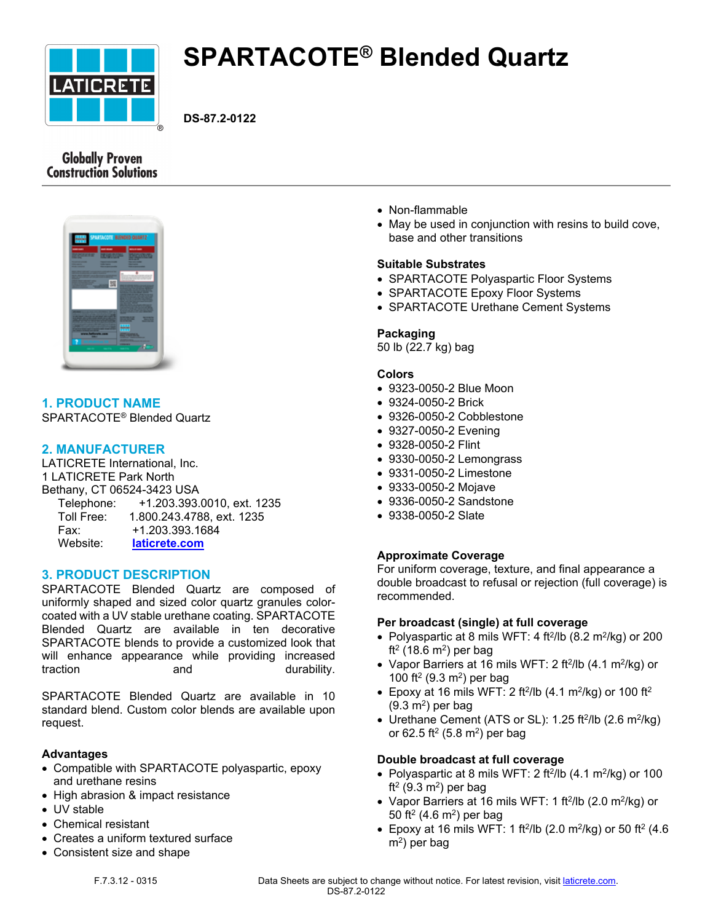

# **SPARTACOTE® Blended Quartz**

**DS-87.2-0122**

## **Globally Proven Construction Solutions**



## **1. PRODUCT NAME**

SPARTACOTE® Blended Quartz

## **2. MANUFACTURER**

LATICRETE International, Inc. 1 LATICRETE Park North Bethany, CT 06524-3423 USA Telephone: +1.203.393.0010, ext. 1235 Toll Free: 1.800.243.4788, ext. 1235 Fax: +1.203.393.1684 Website: **[laticrete.com](https://laticrete.com/)**

## **3. PRODUCT DESCRIPTION**

SPARTACOTE Blended Quartz are composed of uniformly shaped and sized color quartz granules colorcoated with a UV stable urethane coating. SPARTACOTE Blended Quartz are available in ten decorative SPARTACOTE blends to provide a customized look that will enhance appearance while providing increased traction and and durability.

SPARTACOTE Blended Quartz are available in 10 standard blend. Custom color blends are available upon request.

#### **Advantages**

- Compatible with SPARTACOTE polyaspartic, epoxy and urethane resins
- High abrasion & impact resistance
- UV stable
- Chemical resistant
- Creates a uniform textured surface
- Consistent size and shape
- Non-flammable
- May be used in conjunction with resins to build cove, base and other transitions

#### **Suitable Substrates**

- SPARTACOTE Polyaspartic Floor Systems
- SPARTACOTE Epoxy Floor Systems
- SPARTACOTE Urethane Cement Systems

#### **Packaging**

50 lb (22.7 kg) bag

#### **Colors**

- 9323-0050-2 Blue Moon
- 9324-0050-2 Brick
- 9326-0050-2 Cobblestone
- 9327-0050-2 Evening
- 9328-0050-2 Flint
- 9330-0050-2 Lemongrass
- 9331-0050-2 Limestone
- 9333-0050-2 Mojave
- 9336-0050-2 Sandstone
- 9338-0050-2 Slate

#### **Approximate Coverage**

For uniform coverage, texture, and final appearance a double broadcast to refusal or rejection (full coverage) is recommended.

#### **Per broadcast (single) at full coverage**

- Polyaspartic at 8 mils WFT: 4 ft $^{2}$ /lb (8.2 m $^{2}$ /kg) or 200 ft<sup>2</sup> (18.6 m<sup>2</sup>) per bag
- Vapor Barriers at 16 mils WFT: 2 ft<sup>2</sup>/lb (4.1 m<sup>2</sup>/kg) or 100 ft<sup>2</sup> (9.3 m<sup>2</sup> ) per bag
- Epoxy at 16 mils WFT: 2 ft<sup>2</sup>/lb (4.1 m<sup>2</sup>/kg) or 100 ft<sup>2</sup>  $(9.3 \text{ m}^2)$  per bag
- Urethane Cement (ATS or SL):  $1.25$  ft<sup>2</sup>/lb (2.6 m<sup>2</sup>/kg) or 62.5 ft<sup>2</sup> (5.8 m<sup>2</sup>) per bag

#### **Double broadcast at full coverage**

- Polyaspartic at 8 mils WFT: 2 ft $^{2}$ /lb (4.1 m $^{2}$ /kg) or 100 ft<sup>2</sup> (9.3 m<sup>2</sup>) per bag
- Vapor Barriers at 16 mils WFT: 1 ft<sup>2</sup>/lb (2.0 m<sup>2</sup>/kg) or 50 ft<sup>2</sup> (4.6 m<sup>2</sup>) per bag
- Epoxy at 16 mils WFT: 1 ft<sup>2</sup>/lb (2.0 m<sup>2</sup>/kg) or 50 ft<sup>2</sup> (4.6 m<sup>2</sup> ) per bag

F.7.3.12 - 0315 Data Sheets are subject to change without notice. For latest revision, visit [laticrete.com.](https://laticrete.com/) DS-87.2-0122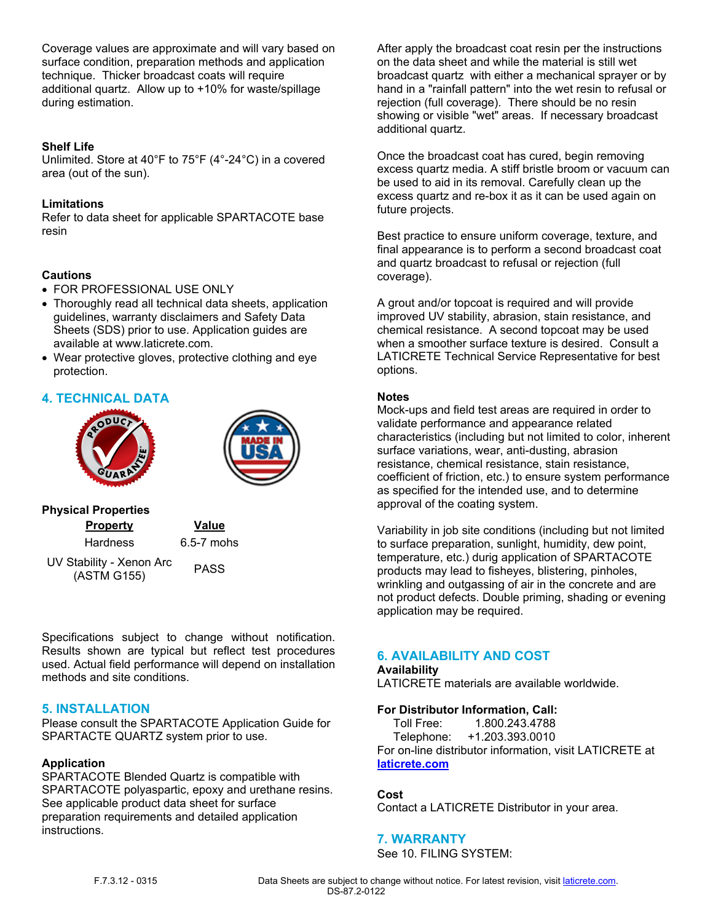Coverage values are approximate and will vary based on surface condition, preparation methods and application technique. Thicker broadcast coats will require additional quartz. Allow up to +10% for waste/spillage during estimation.

#### **Shelf Life**

Unlimited. Store at 40°F to 75°F (4°-24°C) in a covered area (out of the sun).

#### **Limitations**

Refer to data sheet for applicable SPARTACOTE base resin

#### **Cautions**

- FOR PROFESSIONAL USE ONLY
- Thoroughly read all technical data sheets, application guidelines, warranty disclaimers and Safety Data Sheets (SDS) prior to use. Application guides are available at www.laticrete.com.
- Wear protective gloves, protective clothing and eye protection.

## **4. TECHNICAL DATA**





#### **Physical Properties Property Value**

Hardness 6.5-7 mohs

UV Stability - Xenon Arc Exability - Aerion Arc PASS

Specifications subject to change without notification. Results shown are typical but reflect test procedures used. Actual field performance will depend on installation methods and site conditions.

#### **5. INSTALLATION**

Please consult the SPARTACOTE Application Guide for SPARTACTE QUARTZ system prior to use.

#### **Application**

SPARTACOTE Blended Quartz is compatible with SPARTACOTE polyaspartic, epoxy and urethane resins. See applicable product data sheet for surface preparation requirements and detailed application instructions.

After apply the broadcast coat resin per the instructions on the data sheet and while the material is still wet broadcast quartz with either a mechanical sprayer or by hand in a "rainfall pattern" into the wet resin to refusal or rejection (full coverage). There should be no resin showing or visible "wet" areas. If necessary broadcast additional quartz.

Once the broadcast coat has cured, begin removing excess quartz media. A stiff bristle broom or vacuum can be used to aid in its removal. Carefully clean up the excess quartz and re-box it as it can be used again on future projects.

Best practice to ensure uniform coverage, texture, and final appearance is to perform a second broadcast coat and quartz broadcast to refusal or rejection (full coverage).

A grout and/or topcoat is required and will provide improved UV stability, abrasion, stain resistance, and chemical resistance. A second topcoat may be used when a smoother surface texture is desired. Consult a LATICRETE Technical Service Representative for best options.

#### **Notes**

Mock-ups and field test areas are required in order to validate performance and appearance related characteristics (including but not limited to color, inherent surface variations, wear, anti-dusting, abrasion resistance, chemical resistance, stain resistance, coefficient of friction, etc.) to ensure system performance as specified for the intended use, and to determine approval of the coating system.

Variability in job site conditions (including but not limited to surface preparation, sunlight, humidity, dew point, temperature, etc.) durig application of SPARTACOTE products may lead to fisheyes, blistering, pinholes, wrinkling and outgassing of air in the concrete and are not product defects. Double priming, shading or evening application may be required.

#### **6. AVAILABILITY AND COST**

#### **Availability**

LATICRETE materials are available worldwide.

#### **For Distributor Information, Call:**

 Toll Free: 1.800.243.4788 Telephone: +1.203.393.0010 For on-line distributor information, visit LATICRETE at **[laticrete.com](https://laticrete.com/)**

#### **Cost**

Contact a LATICRETE Distributor in your area.

#### **7. WARRANTY**

See 10. FILING SYSTEM: